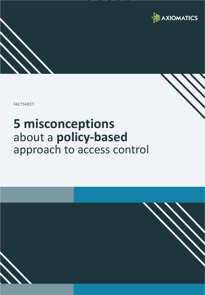

FACTSHEET

# **5 misconceptions**  about a **policy-based** approach to access control

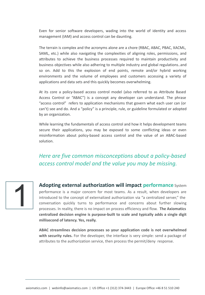Even for senior software developers, wading into the world of identity and access management (IAM) and access control can be daunting.

The terrain is complex and the acronyms alone are a chore (RBAC, ABAC, PBAC, XACML, SAML, etc.) while also navigating the complexities of aligning roles, permissions, and attributes to achieve the business processes required to maintain productivity and business objectives while also adhering to multiple industry and global regulations..and so on. Add to this the explosion of end points, remote and/or hybrid working environments and the volume of employees and customers accessing a variety of applications and data sets and this quickly becomes overwhelming.

At its core a policy-based access control model (also referred to as Attribute Based Access Control or "ABAC") is a concept any developer can understand. The phrase "access control" refers to application mechanisms that govern what each user can (or can't) see and do. And a "policy" is a principle, rule, or guideline formulated or adopted by an organization.

While learning the fundamentals of access control and how it helps development teams secure their applications, you may be exposed to some conflicting ideas or even misinformation about policy-based access control and the value of an ABAC-based solution.

## *Here are five common misconceptions about a policy-based access control model and the value you may be missing.*



**Adopting external authorization will impact performance** System performance is a major concern for most teams. As a result, when developers are introduced to the concept of externalized authorization via "a centralized server," the conversation quickly turns to performance and concerns about further slowing processes. In reality, there is no impact on process efficiency and flow. **The Axiomatics centralized decision engine is purpose-built to scale and typically adds a single digit millisecond of latency. Yes, really.** 

**ABAC streamlines decision processes so your application code is not overwhelmed with security rules.** For the developer, the interface is very simple: send a package of attributes to the authorization service, then process the permit/deny response.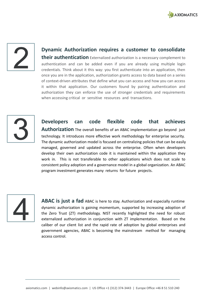

**Dynamic Authorization requires a customer to consolidate their authentication** Externalized authorization is a necessary complement to authentication and can be added even if you are already using multiple login credentials. Think about it this way: you first authenticate into an application, then once you are in the application, authorization grants access to data based on a series of context-driven attributes that define what you can access and how you can access it within that application. Our customers found by pairing authentication and authorization they can enforce the use of stronger credentials and requirements when accessing critical or sensitive resources and transactions.



**Developers can code flexible code that achieves Authorization** The overall benefits of an ABAC implementation go beyond just technology. It introduces more effective work methodology for enterprise security. The dynamic authorization model is focused on centralizing policies that can be easily managed, governed and updated across the enterprise. Often when developers develop their own authorization code it is maintained within the application they work in. This is not transferable to other applications which does not scale to consistent policy adoption and a governance model in a global organization. An ABAC program investment generates many returns for future projects.



**ABAC is just a fad** ABAC is here to stay. Authorization and especially runtime dynamic authorization is gaining momentum, supported by increasing adoption of the Zero Trust (ZT) methodology. NIST recently highlighted the need for robust externalized authorization in conjunction with ZT implementation. Based on the caliber of our client list and the rapid rate of adoption by global enterprises and government agencies, ABAC is becoming the mainstream method for managing access control.